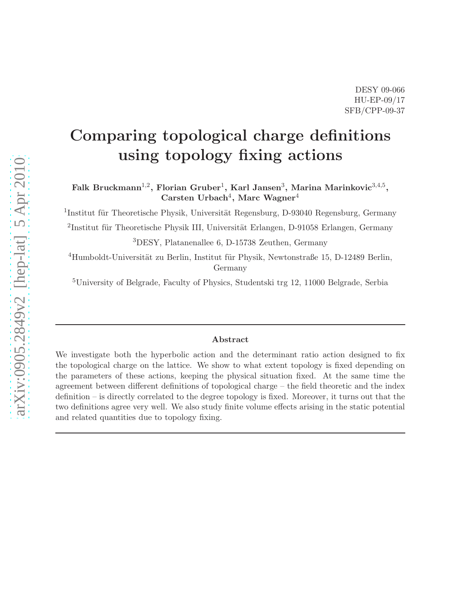# Comparing topological charge definitions using topology fixing actions

Falk Bruckmann $^{1,2}$ , Florian Gruber $^1$ , Karl Jansen $^3$ , Marina Marinkovic $^{3,4,5},$  $\text{Carsten Urbach}^4$ , Marc Wagner<sup>4</sup>

<sup>1</sup>Institut für Theoretische Physik, Universität Regensburg, D-93040 Regensburg, Germany

 $2$ Institut für Theoretische Physik III, Universität Erlangen, D-91058 Erlangen, Germany

<sup>3</sup>DESY, Platanenallee 6, D-15738 Zeuthen, Germany

 $4$ Humboldt-Universität zu Berlin, Institut für Physik, Newtonstraße 15, D-12489 Berlin, Germany

<sup>5</sup>University of Belgrade, Faculty of Physics, Studentski trg 12, 11000 Belgrade, Serbia

#### Abstract

We investigate both the hyperbolic action and the determinant ratio action designed to fix the topological charge on the lattice. We show to what extent topology is fixed depending on the parameters of these actions, keeping the physical situation fixed. At the same time the agreement between different definitions of topological charge – the field theoretic and the index definition – is directly correlated to the degree topology is fixed. Moreover, it turns out that the two definitions agree very well. We also study finite volume effects arising in the static potential and related quantities due to topology fixing.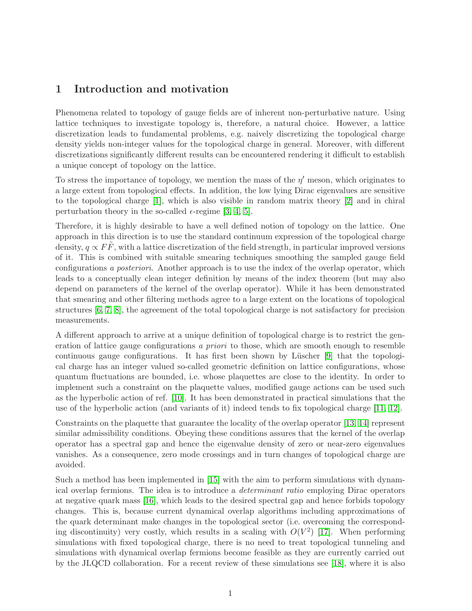## <span id="page-1-0"></span>1 Introduction and motivation

Phenomena related to topology of gauge fields are of inherent non-perturbative nature. Using lattice techniques to investigate topology is, therefore, a natural choice. However, a lattice discretization leads to fundamental problems, e.g. naively discretizing the topological charge density yields non-integer values for the topological charge in general. Moreover, with different discretizations significantly different results can be encountered rendering it difficult to establish a unique concept of topology on the lattice.

To stress the importance of topology, we mention the mass of the  $\eta'$  meson, which originates to a large extent from topological effects. In addition, the low lying Dirac eigenvalues are sensitive to the topological charge [\[1\]](#page-14-0), which is also visible in random matrix theory [\[2\]](#page-14-1) and in chiral perturbation theory in the so-called  $\epsilon$ -regime [\[3,](#page-14-2) [4,](#page-14-3) [5\]](#page-14-4).

Therefore, it is highly desirable to have a well defined notion of topology on the lattice. One approach in this direction is to use the standard continuum expression of the topological charge density,  $q \propto FF$ , with a lattice discretization of the field strength, in particular improved versions of it. This is combined with suitable smearing techniques smoothing the sampled gauge field configurations a posteriori. Another approach is to use the index of the overlap operator, which leads to a conceptually clean integer definition by means of the index theorem (but may also depend on parameters of the kernel of the overlap operator). While it has been demonstrated that smearing and other filtering methods agree to a large extent on the locations of topological structures [\[6,](#page-14-5) [7,](#page-14-6) [8\]](#page-15-0), the agreement of the total topological charge is not satisfactory for precision measurements.

A different approach to arrive at a unique definition of topological charge is to restrict the generation of lattice gauge configurations a priori to those, which are smooth enough to resemble continuous gauge configurations. It has first been shown by Lüscher  $[9]$  that the topological charge has an integer valued so-called geometric definition on lattice configurations, whose quantum fluctuations are bounded, i.e. whose plaquettes are close to the identity. In order to implement such a constraint on the plaquette values, modified gauge actions can be used such as the hyperbolic action of ref. [\[10\]](#page-15-2). It has been demonstrated in practical simulations that the use of the hyperbolic action (and variants of it) indeed tends to fix topological charge [\[11,](#page-15-3) [12\]](#page-15-4).

Constraints on the plaquette that guarantee the locality of the overlap operator [\[13,](#page-15-5) [14\]](#page-15-6) represent similar admissibility conditions. Obeying these conditions assures that the kernel of the overlap operator has a spectral gap and hence the eigenvalue density of zero or near-zero eigenvalues vanishes. As a consequence, zero mode crossings and in turn changes of topological charge are avoided.

Such a method has been implemented in [\[15\]](#page-15-7) with the aim to perform simulations with dynamical overlap fermions. The idea is to introduce a determinant ratio employing Dirac operators at negative quark mass [\[16\]](#page-15-8), which leads to the desired spectral gap and hence forbids topology changes. This is, because current dynamical overlap algorithms including approximations of the quark determinant make changes in the topological sector (i.e. overcoming the corresponding discontinuity) very costly, which results in a scaling with  $O(V^2)$  [\[17\]](#page-15-9). When performing simulations with fixed topological charge, there is no need to treat topological tunneling and simulations with dynamical overlap fermions become feasible as they are currently carried out by the JLQCD collaboration. For a recent review of these simulations see [\[18\]](#page-15-10), where it is also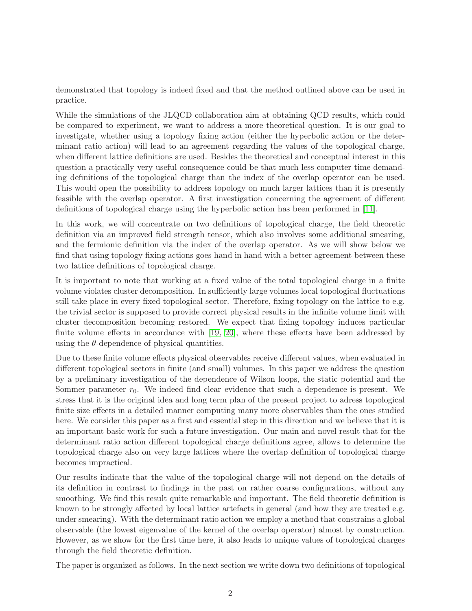demonstrated that topology is indeed fixed and that the method outlined above can be used in practice.

While the simulations of the JLQCD collaboration aim at obtaining QCD results, which could be compared to experiment, we want to address a more theoretical question. It is our goal to investigate, whether using a topology fixing action (either the hyperbolic action or the determinant ratio action) will lead to an agreement regarding the values of the topological charge, when different lattice definitions are used. Besides the theoretical and conceptual interest in this question a practically very useful consequence could be that much less computer time demanding definitions of the topological charge than the index of the overlap operator can be used. This would open the possibility to address topology on much larger lattices than it is presently feasible with the overlap operator. A first investigation concerning the agreement of different definitions of topological charge using the hyperbolic action has been performed in [\[11\]](#page-15-3).

In this work, we will concentrate on two definitions of topological charge, the field theoretic definition via an improved field strength tensor, which also involves some additional smearing, and the fermionic definition via the index of the overlap operator. As we will show below we find that using topology fixing actions goes hand in hand with a better agreement between these two lattice definitions of topological charge.

It is important to note that working at a fixed value of the total topological charge in a finite volume violates cluster decomposition. In sufficiently large volumes local topological fluctuations still take place in every fixed topological sector. Therefore, fixing topology on the lattice to e.g. the trivial sector is supposed to provide correct physical results in the infinite volume limit with cluster decomposition becoming restored. We expect that fixing topology induces particular finite volume effects in accordance with [\[19,](#page-15-11) [20\]](#page-15-12), where these effects have been addressed by using the  $\theta$ -dependence of physical quantities.

Due to these finite volume effects physical observables receive different values, when evaluated in different topological sectors in finite (and small) volumes. In this paper we address the question by a preliminary investigation of the dependence of Wilson loops, the static potential and the Sommer parameter  $r_0$ . We indeed find clear evidence that such a dependence is present. We stress that it is the original idea and long term plan of the present project to adress topological finite size effects in a detailed manner computing many more observables than the ones studied here. We consider this paper as a first and essential step in this direction and we believe that it is an important basic work for such a future investigation. Our main and novel result that for the determinant ratio action different topological charge definitions agree, allows to determine the topological charge also on very large lattices where the overlap definition of topological charge becomes impractical.

Our results indicate that the value of the topological charge will not depend on the details of its definition in contrast to findings in the past on rather coarse configurations, without any smoothing. We find this result quite remarkable and important. The field theoretic definition is known to be strongly affected by local lattice artefacts in general (and how they are treated e.g. under smearing). With the determinant ratio action we employ a method that constrains a global observable (the lowest eigenvalue of the kernel of the overlap operator) almost by construction. However, as we show for the first time here, it also leads to unique values of topological charges through the field theoretic definition.

The paper is organized as follows. In the next section we write down two definitions of topological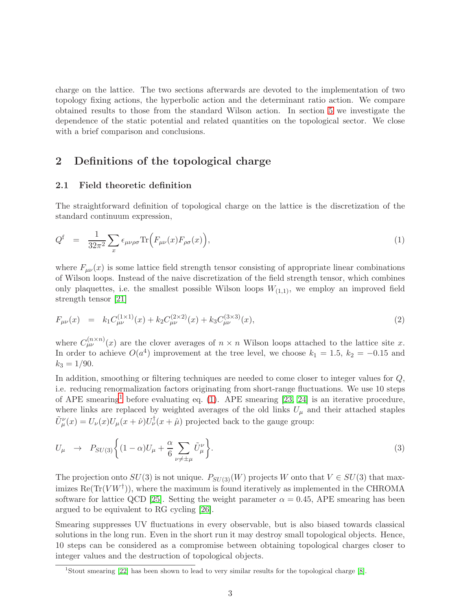charge on the lattice. The two sections afterwards are devoted to the implementation of two topology fixing actions, the hyperbolic action and the determinant ratio action. We compare obtained results to those from the standard Wilson action. In section [5](#page-11-0) we investigate the dependence of the static potential and related quantities on the topological sector. We close with a brief comparison and conclusions.

## <span id="page-3-2"></span>2 Definitions of the topological charge

#### 2.1 Field theoretic definition

The straightforward definition of topological charge on the lattice is the discretization of the standard continuum expression,

<span id="page-3-1"></span>
$$
Q^{\rm f} = \frac{1}{32\pi^2} \sum_{x} \epsilon_{\mu\nu\rho\sigma} \text{Tr}\Big(F_{\mu\nu}(x) F_{\rho\sigma}(x)\Big),\tag{1}
$$

where  $F_{\mu\nu}(x)$  is some lattice field strength tensor consisting of appropriate linear combinations of Wilson loops. Instead of the naive discretization of the field strength tensor, which combines only plaquettes, i.e. the smallest possible Wilson loops  $W_{(1,1)}$ , we employ an improved field strength tensor [\[21\]](#page-15-13)

$$
F_{\mu\nu}(x) = k_1 C_{\mu\nu}^{(1 \times 1)}(x) + k_2 C_{\mu\nu}^{(2 \times 2)}(x) + k_3 C_{\mu\nu}^{(3 \times 3)}(x), \tag{2}
$$

where  $C_{\mu\nu}^{(n\times n)}(x)$  are the clover averages of  $n \times n$  Wilson loops attached to the lattice site x. In order to achieve  $O(a^4)$  improvement at the tree level, we choose  $k_1 = 1.5$ ,  $k_2 = -0.15$  and  $k_3 = 1/90$ .

In addition, smoothing or filtering techniques are needed to come closer to integer values for Q, i.e. reducing renormalization factors originating from short-range fluctuations. We use 10 steps of APE smearing<sup>[1](#page-3-0)</sup> before evaluating eq. [\(1\)](#page-3-1). APE smearing [\[23,](#page-15-14) [24\]](#page-15-15) is an iterative procedure, where links are replaced by weighted averages of the old links  $U_{\mu}$  and their attached staples  $\tilde{U}^{\nu}_{\mu}(x) = U_{\nu}(x)U_{\mu}(x+\hat{\nu})U^{\dagger}_{\nu}(x+\hat{\mu})$  projected back to the gauge group:

$$
U_{\mu} \rightarrow P_{SU(3)} \bigg\{ (1 - \alpha) U_{\mu} + \frac{\alpha}{6} \sum_{\nu \neq \pm \mu} \tilde{U}_{\mu}^{\nu} \bigg\}.
$$
 (3)

The projection onto  $SU(3)$  is not unique.  $P_{SU(3)}(W)$  projects W onto that  $V \in SU(3)$  that maximizes  $\text{Re}(\text{Tr}(V W^{\dagger}))$ , where the maximum is found iteratively as implemented in the CHROMA software for lattice QCD [\[25\]](#page-15-16). Setting the weight parameter  $\alpha = 0.45$ , APE smearing has been argued to be equivalent to RG cycling [\[26\]](#page-15-17).

Smearing suppresses UV fluctuations in every observable, but is also biased towards classical solutions in the long run. Even in the short run it may destroy small topological objects. Hence, 10 steps can be considered as a compromise between obtaining topological charges closer to integer values and the destruction of topological objects.

<span id="page-3-0"></span><sup>1</sup>Stout smearing [\[22\]](#page-15-18) has been shown to lead to very similar results for the topological charge [\[8\]](#page-15-0).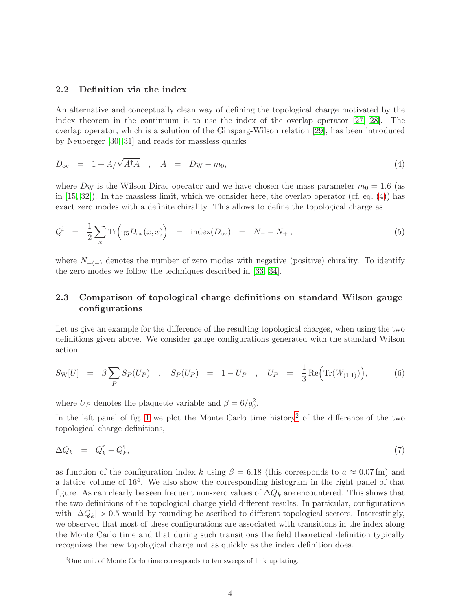#### 2.2 Definition via the index

An alternative and conceptually clean way of defining the topological charge motivated by the index theorem in the continuum is to use the index of the overlap operator [\[27,](#page-16-0) [28\]](#page-16-1). The overlap operator, which is a solution of the Ginsparg-Wilson relation [\[29\]](#page-16-2), has been introduced by Neuberger [\[30,](#page-16-3) [31\]](#page-16-4) and reads for massless quarks

<span id="page-4-0"></span>
$$
D_{\text{ov}} = 1 + A/\sqrt{A^{\dagger}A} , A = D_{\text{W}} - m_0,
$$
\n(4)

where  $D_W$  is the Wilson Dirac operator and we have chosen the mass parameter  $m_0 = 1.6$  (as in  $[15, 32]$  $[15, 32]$ . In the massless limit, which we consider here, the overlap operator (cf. eq. [\(4\)](#page-4-0)) has exact zero modes with a definite chirality. This allows to define the topological charge as

<span id="page-4-3"></span>
$$
Q^{i} = \frac{1}{2} \sum_{x} \text{Tr} \Big( \gamma_{5} D_{ov}(x, x) \Big) = \text{index}(D_{ov}) = N_{-} - N_{+}, \qquad (5)
$$

where  $N_{-(+)}$  denotes the number of zero modes with negative (positive) chirality. To identify the zero modes we follow the techniques described in [\[33,](#page-16-6) [34\]](#page-16-7).

#### 2.3 Comparison of topological charge definitions on standard Wilson gauge configurations

Let us give an example for the difference of the resulting topological charges, when using the two definitions given above. We consider gauge configurations generated with the standard Wilson action

$$
S_{\rm W}[U] = \beta \sum_{P} S_{P}(U_{P}) \quad , \quad S_{P}(U_{P}) = 1 - U_{P} \quad , \quad U_{P} = \frac{1}{3} \operatorname{Re} \Big( \operatorname{Tr}(W_{(1,1)}) \Big), \tag{6}
$$

where  $U_P$  denotes the plaquette variable and  $\beta = 6/g_0^2$ .

In the left panel of fig. [1](#page-5-0) we plot the Monte Carlo time history<sup>[2](#page-4-1)</sup> of the difference of the two topological charge definitions,

<span id="page-4-2"></span>
$$
\Delta Q_k = Q_k^{\text{f}} - Q_k^{\text{i}},\tag{7}
$$

as function of the configuration index k using  $\beta = 6.18$  (this corresponds to  $a \approx 0.07$  fm) and a lattice volume of  $16<sup>4</sup>$ . We also show the corresponding histogram in the right panel of that figure. As can clearly be seen frequent non-zero values of  $\Delta Q_k$  are encountered. This shows that the two definitions of the topological charge yield different results. In particular, configurations with  $|\Delta Q_k| > 0.5$  would by rounding be ascribed to different topological sectors. Interestingly, we observed that most of these configurations are associated with transitions in the index along the Monte Carlo time and that during such transitions the field theoretical definition typically recognizes the new topological charge not as quickly as the index definition does.

<span id="page-4-1"></span><sup>2</sup>One unit of Monte Carlo time corresponds to ten sweeps of link updating.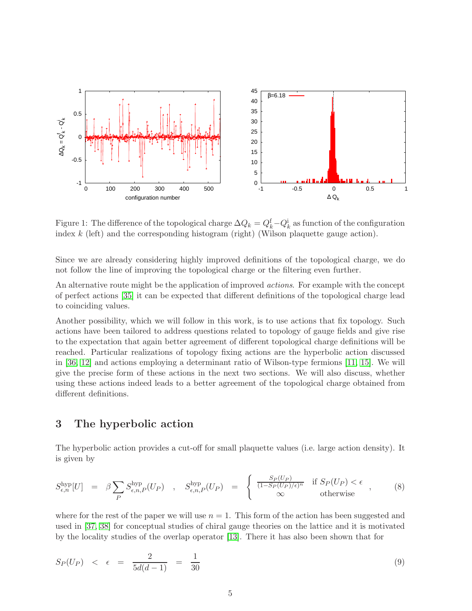

<span id="page-5-0"></span>Figure 1: The difference of the topological charge  $\Delta Q_k = Q_k^{\text{f}} - Q_k^{\text{i}}$  as function of the configuration index  $k$  (left) and the corresponding histogram (right) (Wilson plaquette gauge action).

Since we are already considering highly improved definitions of the topological charge, we do not follow the line of improving the topological charge or the filtering even further.

An alternative route might be the application of improved actions. For example with the concept of perfect actions [\[35\]](#page-16-8) it can be expected that different definitions of the topological charge lead to coinciding values.

Another possibility, which we will follow in this work, is to use actions that fix topology. Such actions have been tailored to address questions related to topology of gauge fields and give rise to the expectation that again better agreement of different topological charge definitions will be reached. Particular realizations of topology fixing actions are the hyperbolic action discussed in [\[36,](#page-16-9) [12\]](#page-15-4) and actions employing a determinant ratio of Wilson-type fermions [\[11,](#page-15-3) [15\]](#page-15-7). We will give the precise form of these actions in the next two sections. We will also discuss, whether using these actions indeed leads to a better agreement of the topological charge obtained from different definitions.

### <span id="page-5-3"></span>3 The hyperbolic action

The hyperbolic action provides a cut-off for small plaquette values (i.e. large action density). It is given by

<span id="page-5-2"></span>
$$
S_{\epsilon,n}^{\text{hyp}}[U] = \beta \sum_{P} S_{\epsilon,n,P}^{\text{hyp}}(U_P) \quad , \quad S_{\epsilon,n,P}^{\text{hyp}}(U_P) = \begin{cases} \frac{S_P(U_P)}{(1 - S_P(U_P)/\epsilon)^n} & \text{if } S_P(U_P) < \epsilon \\ \infty & \text{otherwise} \end{cases} , \tag{8}
$$

where for the rest of the paper we will use  $n = 1$ . This form of the action has been suggested and used in [\[37,](#page-16-10) [38\]](#page-16-11) for conceptual studies of chiral gauge theories on the lattice and it is motivated by the locality studies of the overlap operator [\[13\]](#page-15-5). There it has also been shown that for

<span id="page-5-1"></span>
$$
S_P(U_P) \quad < \quad \epsilon \quad = \quad \frac{2}{5d(d-1)} \quad = \quad \frac{1}{30} \tag{9}
$$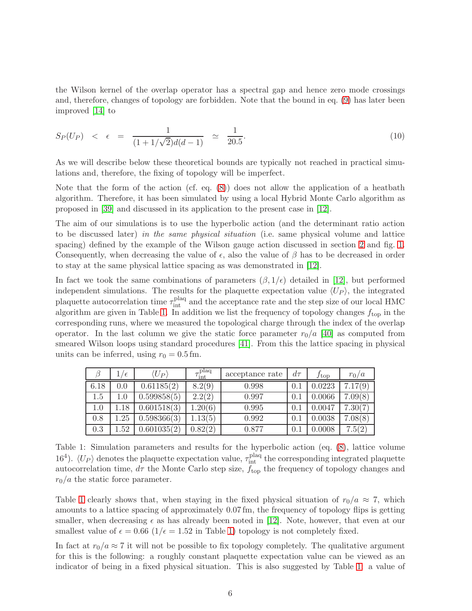the Wilson kernel of the overlap operator has a spectral gap and hence zero mode crossings and, therefore, changes of topology are forbidden. Note that the bound in eq. [\(9\)](#page-5-1) has later been improved [\[14\]](#page-15-6) to

$$
S_P(U_P) \le \epsilon = \frac{1}{(1+1/\sqrt{2})d(d-1)} \simeq \frac{1}{20.5}.
$$
 (10)

As we will describe below these theoretical bounds are typically not reached in practical simulations and, therefore, the fixing of topology will be imperfect.

Note that the form of the action (cf. eq.  $(8)$ ) does not allow the application of a heatbath algorithm. Therefore, it has been simulated by using a local Hybrid Monte Carlo algorithm as proposed in [\[39\]](#page-16-12) and discussed in its application to the present case in [\[12\]](#page-15-4).

The aim of our simulations is to use the hyperbolic action (and the determinant ratio action to be discussed later) in the same physical situation (i.e. same physical volume and lattice spacing) defined by the example of the Wilson gauge action discussed in section [2](#page-3-2) and fig. [1.](#page-5-0) Consequently, when decreasing the value of  $\epsilon$ , also the value of  $\beta$  has to be decreased in order to stay at the same physical lattice spacing as was demonstrated in [\[12\]](#page-15-4).

In fact we took the same combinations of parameters  $(\beta, 1/\epsilon)$  detailed in [\[12\]](#page-15-4), but performed independent simulations. The results for the plaquette expectation value  $\langle U_P \rangle$ , the integrated plaquette autocorrelation time  $\tau_{\text{int}}^{\text{plaq}}$  and the acceptance rate and the step size of our local HMC algorithm are given in Table [1.](#page-6-0) In addition we list the frequency of topology changes  $f_{\text{top}}$  in the corresponding runs, where we measured the topological charge through the index of the overlap operator. In the last column we give the static force parameter  $r_0/a$  [\[40\]](#page-16-13) as computed from smeared Wilson loops using standard procedures [\[41\]](#page-16-14). From this the lattice spacing in physical units can be inferred, using  $r_0 = 0.5$  fm.

|      | ' E     | $\langle U_P \rangle$ | plaq<br>$\tau_{\rm int}^{\rm r}$ | acceptance rate | $d\tau$ | Jtop   | $r_0/a$ |
|------|---------|-----------------------|----------------------------------|-----------------|---------|--------|---------|
| 6.18 | 0.0     | 0.61185(2)            | 8.2(9)                           | 0.998           | (0.1)   | 0.0223 | 7.17(9) |
| 1.5  | $1.0\,$ | 0.599858(5)           | 2.2(2)                           | 0.997           | 0.1     | 0.0066 | 7.09(8) |
| 1.0  | 1.18    | 0.601518(3)           | 1.20(6)                          | 0.995           | 0.1     | 0.0047 | 7.30(7) |
| 0.8  | 1.25    | 0.598366(3)           | 1.13(5)                          | 0.992           | 0.1     | 0.0038 | 7.08(8) |
| 0.3  | 1.52    | 0.601035(2)           | 0.82(2)                          | 0.877           | 0.1     | .0008  | 7.5(2)  |

<span id="page-6-0"></span>Table 1: Simulation parameters and results for the hyperbolic action (eq. [\(8\)](#page-5-2), lattice volume 16<sup>4</sup>).  $\langle U_P \rangle$  denotes the plaquette expectation value,  $\tau_{\text{int}}^{\text{plaq}}$  the corresponding integrated plaquette autocorrelation time,  $d\tau$  the Monte Carlo step size,  $f_{\text{top}}$  the frequency of topology changes and  $r_0/a$  the static force parameter.

Table [1](#page-6-0) clearly shows that, when staying in the fixed physical situation of  $r_0/a \approx 7$ , which amounts to a lattice spacing of approximately 0.07 fm, the frequency of topology flips is getting smaller, when decreasing  $\epsilon$  as has already been noted in [\[12\]](#page-15-4). Note, however, that even at our smallest value of  $\epsilon = 0.66$  ( $1/\epsilon = 1.52$  in Table [1\)](#page-6-0) topology is not completely fixed.

In fact at  $r_0/a \approx 7$  it will not be possible to fix topology completely. The qualitative argument for this is the following: a roughly constant plaquette expectation value can be viewed as an indicator of being in a fixed physical situation. This is also suggested by Table [1:](#page-6-0) a value of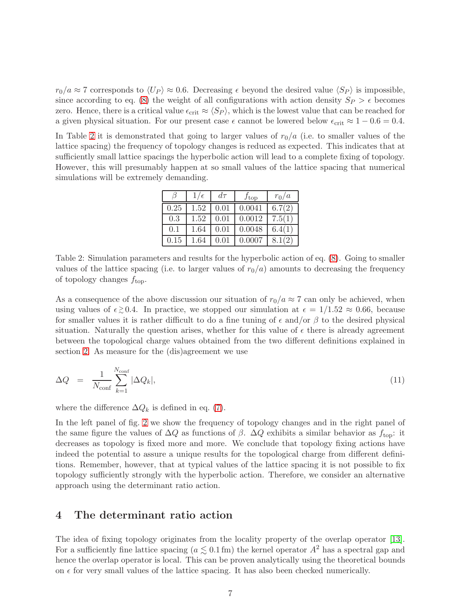$r_0/a \approx 7$  corresponds to  $\langle U_P \rangle \approx 0.6$ . Decreasing  $\epsilon$  beyond the desired value  $\langle S_P \rangle$  is impossible, since according to eq. [\(8\)](#page-5-2) the weight of all configurations with action density  $Sp > \epsilon$  becomes zero. Hence, there is a critical value  $\epsilon_{\rm crit} \approx \langle S_P \rangle$ , which is the lowest value that can be reached for a given physical situation. For our present case  $\epsilon$  cannot be lowered below  $\epsilon_{\rm crit} \approx 1 - 0.6 = 0.4$ .

In Table [2](#page-7-0) it is demonstrated that going to larger values of  $r_0/a$  (i.e. to smaller values of the lattice spacing) the frequency of topology changes is reduced as expected. This indicates that at sufficiently small lattice spacings the hyperbolic action will lead to a complete fixing of topology. However, this will presumably happen at so small values of the lattice spacing that numerical simulations will be extremely demanding.

|      | $1/\epsilon$ | $d\tau$ | $J_{\rm top}$ | $r_0/a$ |
|------|--------------|---------|---------------|---------|
| 0.25 | 1.52         | 0.01    | 0.0041        | 6.7(2)  |
| 0.3  | 1.52         | 0.01    | 0.0012        | 7.5(1)  |
| 0.1  | 1.64         | 0.01    | 0.0048        | 6.4(1)  |
| 0.15 | 1.64         |         | 0.0007        | 8.1(2)  |

<span id="page-7-0"></span>Table 2: Simulation parameters and results for the hyperbolic action of eq. [\(8\)](#page-5-2). Going to smaller values of the lattice spacing (i.e. to larger values of  $r_0/a$ ) amounts to decreasing the frequency of topology changes  $f_{\text{top}}$ .

As a consequence of the above discussion our situation of  $r_0/a \approx 7$  can only be achieved, when using values of  $\epsilon \gtrsim 0.4$ . In practice, we stopped our simulation at  $\epsilon = 1/1.52 \approx 0.66$ , because for smaller values it is rather difficult to do a fine tuning of  $\epsilon$  and/or  $\beta$  to the desired physical situation. Naturally the question arises, whether for this value of  $\epsilon$  there is already agreement between the topological charge values obtained from the two different definitions explained in section [2.](#page-3-2) As measure for the (dis)agreement we use

<span id="page-7-1"></span>
$$
\Delta Q = \frac{1}{N_{\text{conf}}} \sum_{k=1}^{N_{\text{conf}}} |\Delta Q_k|,\tag{11}
$$

where the difference  $\Delta Q_k$  is defined in eq. [\(7\)](#page-4-2).

In the left panel of fig. [2](#page-8-0) we show the frequency of topology changes and in the right panel of the same figure the values of  $\Delta Q$  as functions of  $\beta$ .  $\Delta Q$  exhibits a similar behavior as  $f_{\text{top}}$ : it decreases as topology is fixed more and more. We conclude that topology fixing actions have indeed the potential to assure a unique results for the topological charge from different definitions. Remember, however, that at typical values of the lattice spacing it is not possible to fix topology sufficiently strongly with the hyperbolic action. Therefore, we consider an alternative approach using the determinant ratio action.

#### 4 The determinant ratio action

The idea of fixing topology originates from the locality property of the overlap operator [\[13\]](#page-15-5). For a sufficiently fine lattice spacing  $(a \lesssim 0.1 \text{ fm})$  the kernel operator  $A^2$  has a spectral gap and hence the overlap operator is local. This can be proven analytically using the theoretical bounds on  $\epsilon$  for very small values of the lattice spacing. It has also been checked numerically.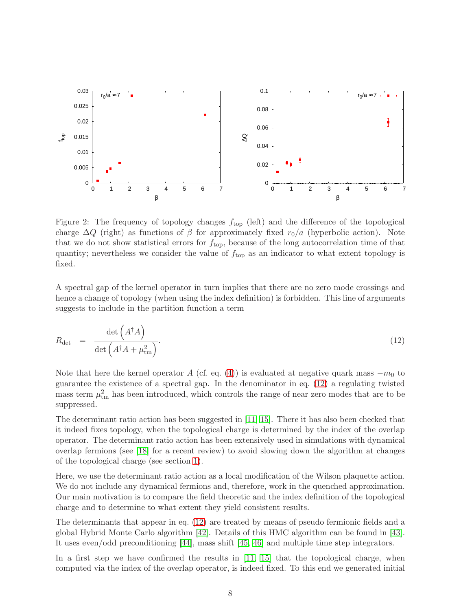

<span id="page-8-0"></span>Figure 2: The frequency of topology changes  $f_{\text{top}}$  (left) and the difference of the topological charge  $\Delta Q$  (right) as functions of  $\beta$  for approximately fixed  $r_0/a$  (hyperbolic action). Note that we do not show statistical errors for  $f_{\text{top}}$ , because of the long autocorrelation time of that quantity; nevertheless we consider the value of  $f_{\text{top}}$  as an indicator to what extent topology is fixed.

A spectral gap of the kernel operator in turn implies that there are no zero mode crossings and hence a change of topology (when using the index definition) is forbidden. This line of arguments suggests to include in the partition function a term

<span id="page-8-1"></span>
$$
R_{\text{det}} = \frac{\det (A^{\dagger}A)}{\det (A^{\dagger}A + \mu_{\text{tm}}^2)}.
$$
\n(12)

Note that here the kernel operator A (cf. eq. [\(4\)](#page-4-0)) is evaluated at negative quark mass  $-m_0$  to guarantee the existence of a spectral gap. In the denominator in eq. [\(12\)](#page-8-1) a regulating twisted mass term  $\mu_{\text{tm}}^2$  has been introduced, which controls the range of near zero modes that are to be suppressed.

The determinant ratio action has been suggested in [\[11,](#page-15-3) [15\]](#page-15-7). There it has also been checked that it indeed fixes topology, when the topological charge is determined by the index of the overlap operator. The determinant ratio action has been extensively used in simulations with dynamical overlap fermions (see [\[18\]](#page-15-10) for a recent review) to avoid slowing down the algorithm at changes of the topological charge (see section [1\)](#page-1-0).

Here, we use the determinant ratio action as a local modification of the Wilson plaquette action. We do not include any dynamical fermions and, therefore, work in the quenched approximation. Our main motivation is to compare the field theoretic and the index definition of the topological charge and to determine to what extent they yield consistent results.

The determinants that appear in eq. [\(12\)](#page-8-1) are treated by means of pseudo fermionic fields and a global Hybrid Monte Carlo algorithm [\[42\]](#page-16-15). Details of this HMC algorithm can be found in [\[43\]](#page-16-16). It uses even/odd preconditioning [\[44\]](#page-16-17), mass shift [\[45,](#page-17-0) [46\]](#page-17-1) and multiple time step integrators.

In a first step we have confirmed the results in [\[11,](#page-15-3) [15\]](#page-15-7) that the topological charge, when computed via the index of the overlap operator, is indeed fixed. To this end we generated initial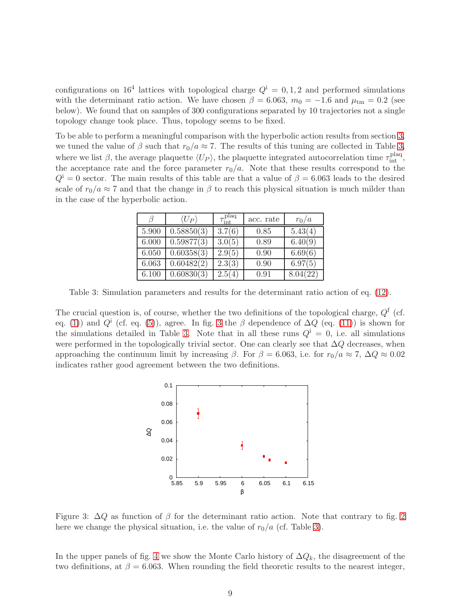configurations on  $16^4$  lattices with topological charge  $Q^i = 0, 1, 2$  and performed simulations with the determinant ratio action. We have chosen  $\beta = 6.063$ ,  $m_0 = -1.6$  and  $\mu_{tm} = 0.2$  (see below). We found that on samples of 300 configurations separated by 10 trajectories not a single topology change took place. Thus, topology seems to be fixed.

To be able to perform a meaningful comparison with the hyperbolic action results from section [3,](#page-5-3) we tuned the value of  $\beta$  such that  $r_0/a \approx 7$ . The results of this tuning are collected in Table [3,](#page-9-0) where we list  $\beta$ , the average plaquette  $\langle U_P \rangle$ , the plaquette integrated autocorrelation time  $\tau_{\text{int}}^{\text{plaq}}$ , the acceptance rate and the force parameter  $r_0/a$ . Note that these results correspond to the  $Q^{i} = 0$  sector. The main results of this table are that a value of  $\beta = 6.063$  leads to the desired scale of  $r_0/a \approx 7$  and that the change in  $\beta$  to reach this physical situation is much milder than in the case of the hyperbolic action.

| 17    | $\langle U_P\rangle$    | _plaq<br>$\frac{1}{\text{int}}$ | acc. rate | $r_0/a$  |
|-------|-------------------------|---------------------------------|-----------|----------|
| 5.900 | 0.58850(3)              | 3.7(6)                          | 0.85      | 5.43(4)  |
| 6.000 | $\overline{0.59877(3)}$ | 3.0(5)                          | 0.89      | 6.40(9)  |
| 6.050 | 0.60358(3)              | 2.9(5)                          | 0.90      | 6.69(6)  |
| 6.063 | 0.60482(2)              | 2.3(3)                          | 0.90      | 6.97(5)  |
| 6.100 | 0.60830(3)              | 2.5(4)                          | 0.91      | 8.04(22) |

<span id="page-9-0"></span>Table 3: Simulation parameters and results for the determinant ratio action of eq. [\(12\)](#page-8-1).

The crucial question is, of course, whether the two definitions of the topological charge,  $Q<sup>f</sup>$  (cf. eq. [\(1\)](#page-3-1)) and  $Q^i$  (cf. eq. [\(5\)](#page-4-3)), agree. In fig. [3](#page-9-1) the  $\beta$  dependence of  $\Delta Q$  (eq. [\(11\)](#page-7-1)) is shown for the simulations detailed in Table [3.](#page-9-0) Note that in all these runs  $Q^{i} = 0$ , i.e. all simulations were performed in the topologically trivial sector. One can clearly see that  $\Delta Q$  decreases, when approaching the continuum limit by increasing  $\beta$ . For  $\beta = 6.063$ , i.e. for  $r_0/a \approx 7$ ,  $\Delta Q \approx 0.02$ indicates rather good agreement between the two definitions.



<span id="page-9-1"></span>Figure 3:  $\Delta Q$  as function of  $\beta$  for the determinant ratio action. Note that contrary to fig. [2](#page-8-0) here we change the physical situation, i.e. the value of  $r_0/a$  (cf. Table [3\)](#page-9-0).

In the upper panels of fig. [4](#page-10-0) we show the Monte Carlo history of  $\Delta Q_k$ , the disagreement of the two definitions, at  $\beta = 6.063$ . When rounding the field theoretic results to the nearest integer,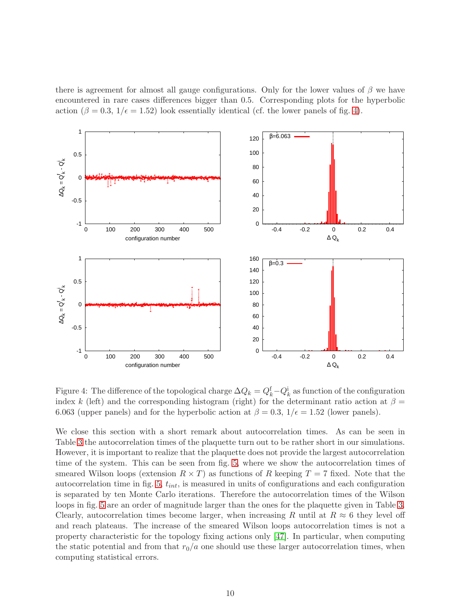there is agreement for almost all gauge configurations. Only for the lower values of  $\beta$  we have encountered in rare cases differences bigger than 0.5. Corresponding plots for the hyperbolic action ( $\beta = 0.3$ ,  $1/\epsilon = 1.52$ ) look essentially identical (cf. the lower panels of fig. [4\)](#page-10-0).



<span id="page-10-0"></span>Figure 4: The difference of the topological charge  $\Delta Q_k = Q_k^{\text{f}} - Q_k^{\text{i}}$  as function of the configuration index k (left) and the corresponding histogram (right) for the determinant ratio action at  $\beta =$ 6.063 (upper panels) and for the hyperbolic action at  $\beta = 0.3$ ,  $1/\epsilon = 1.52$  (lower panels).

We close this section with a short remark about autocorrelation times. As can be seen in Table [3](#page-9-0) the autocorrelation times of the plaquette turn out to be rather short in our simulations. However, it is important to realize that the plaquette does not provide the largest autocorrelation time of the system. This can be seen from fig. [5,](#page-11-1) where we show the autocorrelation times of smeared Wilson loops (extension  $R \times T$ ) as functions of R keeping  $T = 7$  fixed. Note that the autocorrelation time in fig.  $5, t_{int}$ , is measured in units of configurations and each configuration is separated by ten Monte Carlo iterations. Therefore the autocorrelation times of the Wilson loops in fig. [5](#page-11-1) are an order of magnitude larger than the ones for the plaquette given in Table [3.](#page-9-0) Clearly, autocorrelation times become larger, when increasing R until at  $R \approx 6$  they level off and reach plateaus. The increase of the smeared Wilson loops autocorrelation times is not a property characteristic for the topology fixing actions only [\[47\]](#page-17-2). In particular, when computing the static potential and from that  $r_0/a$  one should use these larger autocorrelation times, when computing statistical errors.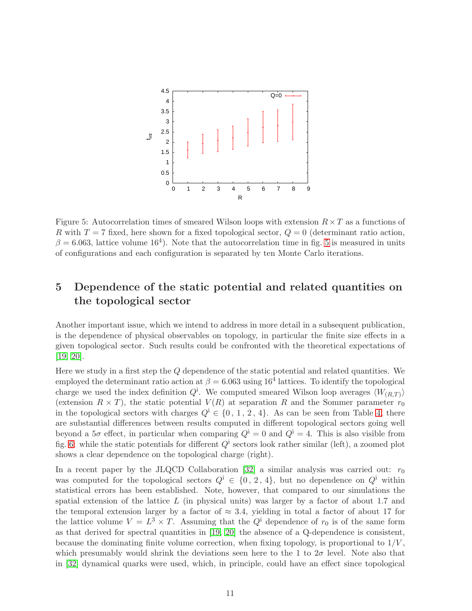

<span id="page-11-1"></span>Figure 5: Autocorrelation times of smeared Wilson loops with extension  $R \times T$  as a functions of R with  $T = 7$  fixed, here shown for a fixed topological sector,  $Q = 0$  (determinant ratio action,  $\beta = 6.063$ , lattice volume 16<sup>4</sup>). Note that the autocorrelation time in fig. [5](#page-11-1) is measured in units of configurations and each configuration is separated by ten Monte Carlo iterations.

# <span id="page-11-0"></span>5 Dependence of the static potential and related quantities on the topological sector

Another important issue, which we intend to address in more detail in a subsequent publication, is the dependence of physical observables on topology, in particular the finite size effects in a given topological sector. Such results could be confronted with the theoretical expectations of [\[19,](#page-15-11) [20\]](#page-15-12).

Here we study in a first step the Q dependence of the static potential and related quantities. We employed the determinant ratio action at  $\beta = 6.063$  using 16<sup>4</sup> lattices. To identify the topological charge we used the index definition  $Q^i$ . We computed smeared Wilson loop averages  $\langle W_{(R,T)} \rangle$ (extension  $R \times T$ ), the static potential  $V(R)$  at separation R and the Sommer parameter  $r_0$ in the topological sectors with charges  $Q^i \in \{0, 1, 2, 4\}$ . As can be seen from Table [4,](#page-12-0) there are substantial differences between results computed in different topological sectors going well beyond a  $5\sigma$  effect, in particular when comparing  $Q^i = 0$  and  $Q^i = 4$ . This is also visible from fig. [6:](#page-12-1) while the static potentials for different  $Q^i$  sectors look rather similar (left), a zoomed plot shows a clear dependence on the topological charge (right).

In a recent paper by the JLQCD Collaboration [\[32\]](#page-16-5) a similar analysis was carried out:  $r_0$ was computed for the topological sectors  $Q^i \in \{0, 2, 4\}$ , but no dependence on  $Q^i$  within statistical errors has been established. Note, however, that compared to our simulations the spatial extension of the lattice  $L$  (in physical units) was larger by a factor of about 1.7 and the temporal extension larger by a factor of  $\approx 3.4$ , yielding in total a factor of about 17 for the lattice volume  $V = L^3 \times T$ . Assuming that the  $Q^i$  dependence of  $r_0$  is of the same form as that derived for spectral quantities in [\[19,](#page-15-11) [20\]](#page-15-12) the absence of a Q-dependence is consistent, because the dominating finite volume correction, when fixing topology, is proportional to  $1/V$ , which presumably would shrink the deviations seen here to the 1 to  $2\sigma$  level. Note also that in [\[32\]](#page-16-5) dynamical quarks were used, which, in principle, could have an effect since topological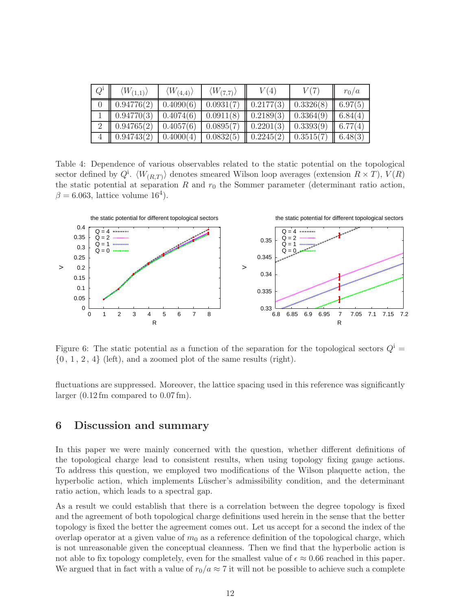| $Q^{\rm i}$ | $\langle W_{(1,1)}\rangle$ | $\langle W_{(4,4)}\rangle$ | $\langle W_{(7,7)}\rangle$ | V(4) | V(7)                               | $r_0/a$             |
|-------------|----------------------------|----------------------------|----------------------------|------|------------------------------------|---------------------|
|             | 0.94776(2)                 | 0.4090(6)                  | $0.0931(7)$ 0.2177(3)      |      | 0.3326(8)                          | $\parallel$ 6.97(5) |
|             | 0.94770(3)                 | 0.4074(6)                  | $0.0911(8)$ 0.2189(3)      |      | $0.3364(9)$ 6.84(4)                |                     |
|             | 0.94765(2)                 | 0.4057(6)                  | $0.0895(7)$ 0.2201(3)      |      | $\mid$ 0.3393(9) $\mid$ 6.77(4)    |                     |
|             | 0.94743(2)                 | 0.4000(4)                  | $0.0832(5)$ 0.2245(2)      |      | $\mid 0.3515(7) \mid \mid 6.48(3)$ |                     |

<span id="page-12-0"></span>Table 4: Dependence of various observables related to the static potential on the topological sector defined by  $Q^i$ .  $\langle W_{(R,T)} \rangle$  denotes smeared Wilson loop averages (extension  $R \times T$ ),  $V(R)$ the static potential at separation R and  $r_0$  the Sommer parameter (determinant ratio action,  $\beta = 6.063$ , lattice volume 16<sup>4</sup>).



<span id="page-12-1"></span>Figure 6: The static potential as a function of the separation for the topological sectors  $Q^i$  =  $\{0, 1, 2, 4\}$  (left), and a zoomed plot of the same results (right).

fluctuations are suppressed. Moreover, the lattice spacing used in this reference was significantly larger (0.12 fm compared to 0.07 fm).

### 6 Discussion and summary

In this paper we were mainly concerned with the question, whether different definitions of the topological charge lead to consistent results, when using topology fixing gauge actions. To address this question, we employed two modifications of the Wilson plaquette action, the hyperbolic action, which implements Lüscher's admissibility condition, and the determinant ratio action, which leads to a spectral gap.

As a result we could establish that there is a correlation between the degree topology is fixed and the agreement of both topological charge definitions used herein in the sense that the better topology is fixed the better the agreement comes out. Let us accept for a second the index of the overlap operator at a given value of  $m_0$  as a reference definition of the topological charge, which is not unreasonable given the conceptual cleanness. Then we find that the hyperbolic action is not able to fix topology completely, even for the smallest value of  $\epsilon \approx 0.66$  reached in this paper. We argued that in fact with a value of  $r_0/a \approx 7$  it will not be possible to achieve such a complete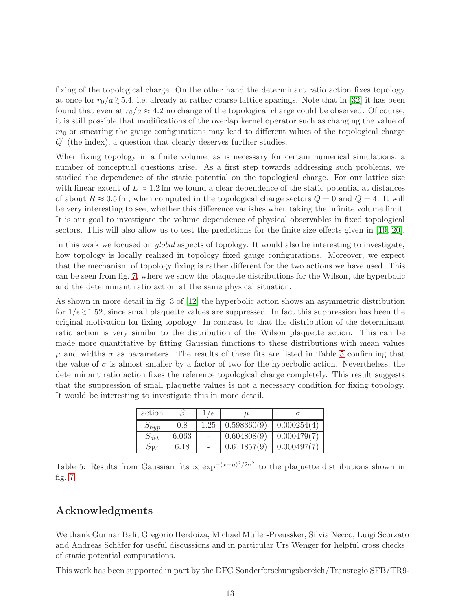fixing of the topological charge. On the other hand the determinant ratio action fixes topology at once for  $r_0/a \gtrsim 5.4$ , i.e. already at rather coarse lattice spacings. Note that in [\[32\]](#page-16-5) it has been found that even at  $r_0/a \approx 4.2$  no change of the topological charge could be observed. Of course, it is still possible that modifications of the overlap kernel operator such as changing the value of  $m<sub>0</sub>$  or smearing the gauge configurations may lead to different values of the topological charge  $Q<sup>i</sup>$  (the index), a question that clearly deserves further studies.

When fixing topology in a finite volume, as is necessary for certain numerical simulations, a number of conceptual questions arise. As a first step towards addressing such problems, we studied the dependence of the static potential on the topological charge. For our lattice size with linear extent of  $L \approx 1.2$  fm we found a clear dependence of the static potential at distances of about  $R \approx 0.5$  fm, when computed in the topological charge sectors  $Q = 0$  and  $Q = 4$ . It will be very interesting to see, whether this difference vanishes when taking the infinite volume limit. It is our goal to investigate the volume dependence of physical observables in fixed topological sectors. This will also allow us to test the predictions for the finite size effects given in [\[19,](#page-15-11) [20\]](#page-15-12).

In this work we focused on global aspects of topology. It would also be interesting to investigate, how topology is locally realized in topology fixed gauge configurations. Moreover, we expect that the mechanism of topology fixing is rather different for the two actions we have used. This can be seen from fig. [7,](#page-14-7) where we show the plaquette distributions for the Wilson, the hyperbolic and the determinant ratio action at the same physical situation.

As shown in more detail in fig. 3 of [\[12\]](#page-15-4) the hyperbolic action shows an asymmetric distribution for  $1/\epsilon \gtrsim 1.52$ , since small plaquette values are suppressed. In fact this suppression has been the original motivation for fixing topology. In contrast to that the distribution of the determinant ratio action is very similar to the distribution of the Wilson plaquette action. This can be made more quantitative by fitting Gaussian functions to these distributions with mean values  $\mu$  and widths  $\sigma$  as parameters. The results of these fits are listed in Table [5](#page-13-0) confirming that the value of  $\sigma$  is almost smaller by a factor of two for the hyperbolic action. Nevertheless, the determinant ratio action fixes the reference topological charge completely. This result suggests that the suppression of small plaquette values is not a necessary condition for fixing topology. It would be interesting to investigate this in more detail.

| action    |       | $\epsilon$ | u           |             |
|-----------|-------|------------|-------------|-------------|
| $D_{hyp}$ | 0.8   | $1.25\,$   | 0.598360(9) | 0.000254(4) |
| $S_{det}$ | 6.063 |            | 0.604808(9) | 0.000479(7) |
| $S_W$     | 6.18  |            | 0.611857(9) | 0.000497(7) |

<span id="page-13-0"></span>Table 5: Results from Gaussian fits  $\propto \exp^{-(x-\mu)^2/2\sigma^2}$  to the plaquette distributions shown in fig. [7.](#page-14-7)

# Acknowledgments

We thank Gunnar Bali, Gregorio Herdoiza, Michael M¨uller-Preussker, Silvia Necco, Luigi Scorzato and Andreas Schäfer for useful discussions and in particular Urs Wenger for helpful cross checks of static potential computations.

This work has been supported in part by the DFG Sonderforschungsbereich/Transregio SFB/TR9-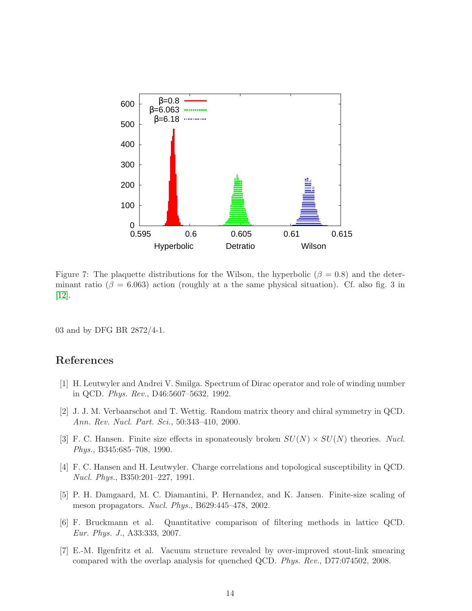

<span id="page-14-7"></span>Figure 7: The plaquette distributions for the Wilson, the hyperbolic ( $\beta = 0.8$ ) and the determinant ratio ( $\beta = 6.063$ ) action (roughly at a the same physical situation). Cf. also fig. 3 in  $|12|$ .

03 and by DFG BR 2872/4-1.

# <span id="page-14-0"></span>References

- <span id="page-14-1"></span>[1] H. Leutwyler and Andrei V. Smilga. Spectrum of Dirac operator and role of winding number in QCD. Phys. Rev., D46:5607–5632, 1992.
- <span id="page-14-2"></span>[2] J. J. M. Verbaarschot and T. Wettig. Random matrix theory and chiral symmetry in QCD. Ann. Rev. Nucl. Part. Sci., 50:343–410, 2000.
- <span id="page-14-3"></span>[3] F. C. Hansen. Finite size effects in sponateously broken  $SU(N) \times SU(N)$  theories. Nucl. Phys., B345:685–708, 1990.
- [4] F. C. Hansen and H. Leutwyler. Charge correlations and topological susceptibility in QCD. Nucl. Phys., B350:201–227, 1991.
- <span id="page-14-4"></span>[5] P. H. Damgaard, M. C. Diamantini, P. Hernandez, and K. Jansen. Finite-size scaling of meson propagators. Nucl. Phys., B629:445–478, 2002.
- <span id="page-14-5"></span>[6] F. Bruckmann et al. Quantitative comparison of filtering methods in lattice QCD. Eur. Phys. J., A33:333, 2007.
- <span id="page-14-6"></span>[7] E.-M. Ilgenfritz et al. Vacuum structure revealed by over-improved stout-link smearing compared with the overlap analysis for quenched QCD. Phys. Rev., D77:074502, 2008.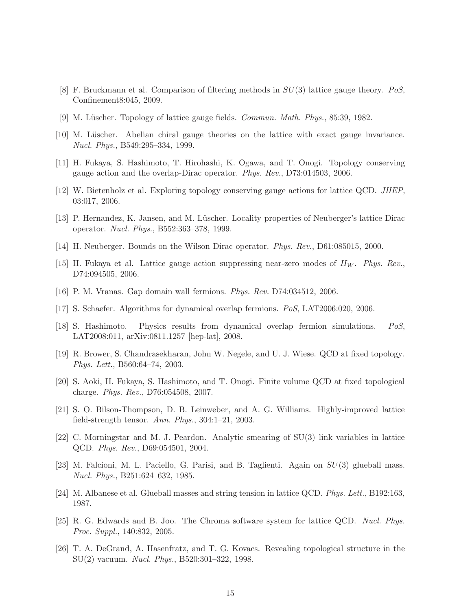- <span id="page-15-1"></span><span id="page-15-0"></span>[8] F. Bruckmann et al. Comparison of filtering methods in SU(3) lattice gauge theory. PoS, Confinement8:045, 2009.
- <span id="page-15-2"></span>[9] M. Lüscher. Topology of lattice gauge fields. *Commun. Math. Phys.*, 85:39, 1982.
- <span id="page-15-3"></span>[10] M. Lüscher. Abelian chiral gauge theories on the lattice with exact gauge invariance. Nucl. Phys., B549:295–334, 1999.
- <span id="page-15-4"></span>[11] H. Fukaya, S. Hashimoto, T. Hirohashi, K. Ogawa, and T. Onogi. Topology conserving gauge action and the overlap-Dirac operator. Phys. Rev., D73:014503, 2006.
- <span id="page-15-5"></span>[12] W. Bietenholz et al. Exploring topology conserving gauge actions for lattice QCD. JHEP, 03:017, 2006.
- <span id="page-15-6"></span>[13] P. Hernandez, K. Jansen, and M. Lüscher. Locality properties of Neuberger's lattice Dirac operator. Nucl. Phys., B552:363–378, 1999.
- <span id="page-15-7"></span>[14] H. Neuberger. Bounds on the Wilson Dirac operator. Phys. Rev., D61:085015, 2000.
- <span id="page-15-8"></span>[15] H. Fukaya et al. Lattice gauge action suppressing near-zero modes of  $H_W$ . Phys. Rev. D74:094505, 2006.
- <span id="page-15-9"></span>[16] P. M. Vranas. Gap domain wall fermions. Phys. Rev. D74:034512, 2006.
- <span id="page-15-10"></span>[17] S. Schaefer. Algorithms for dynamical overlap fermions. PoS, LAT2006:020, 2006.
- [18] S. Hashimoto. Physics results from dynamical overlap fermion simulations. PoS, LAT2008:011, arXiv:0811.1257 [hep-lat], 2008.
- <span id="page-15-12"></span><span id="page-15-11"></span>[19] R. Brower, S. Chandrasekharan, John W. Negele, and U. J. Wiese. QCD at fixed topology. Phys. Lett., B560:64–74, 2003.
- [20] S. Aoki, H. Fukaya, S. Hashimoto, and T. Onogi. Finite volume QCD at fixed topological charge. Phys. Rev., D76:054508, 2007.
- <span id="page-15-18"></span><span id="page-15-13"></span>[21] S. O. Bilson-Thompson, D. B. Leinweber, and A. G. Williams. Highly-improved lattice field-strength tensor. Ann. Phys., 304:1–21, 2003.
- <span id="page-15-14"></span>[22] C. Morningstar and M. J. Peardon. Analytic smearing of SU(3) link variables in lattice QCD. Phys. Rev., D69:054501, 2004.
- <span id="page-15-15"></span>[23] M. Falcioni, M. L. Paciello, G. Parisi, and B. Taglienti. Again on SU(3) glueball mass. Nucl. Phys., B251:624–632, 1985.
- <span id="page-15-16"></span>[24] M. Albanese et al. Glueball masses and string tension in lattice QCD. Phys. Lett., B192:163, 1987.
- [25] R. G. Edwards and B. Joo. The Chroma software system for lattice QCD. Nucl. Phys. Proc. Suppl., 140:832, 2005.
- <span id="page-15-17"></span>[26] T. A. DeGrand, A. Hasenfratz, and T. G. Kovacs. Revealing topological structure in the SU(2) vacuum. Nucl. Phys., B520:301–322, 1998.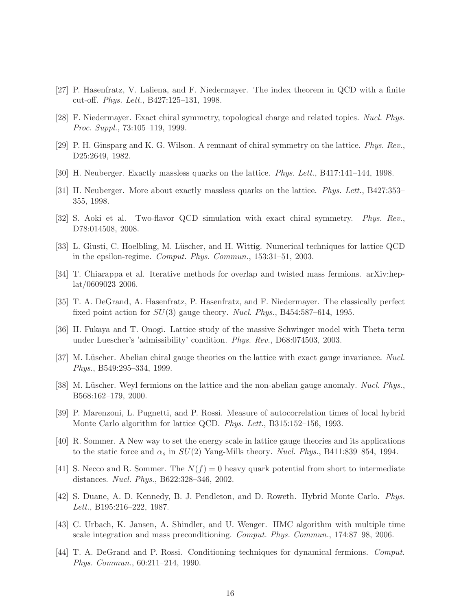- <span id="page-16-1"></span><span id="page-16-0"></span>[27] P. Hasenfratz, V. Laliena, and F. Niedermayer. The index theorem in QCD with a finite cut-off. Phys. Lett., B427:125–131, 1998.
- <span id="page-16-2"></span>[28] F. Niedermayer. Exact chiral symmetry, topological charge and related topics. Nucl. Phys. Proc. Suppl., 73:105–119, 1999.
- <span id="page-16-3"></span>[29] P. H. Ginsparg and K. G. Wilson. A remnant of chiral symmetry on the lattice. Phys. Rev., D25:2649, 1982.
- <span id="page-16-4"></span>[30] H. Neuberger. Exactly massless quarks on the lattice. Phys. Lett., B417:141–144, 1998.
- <span id="page-16-5"></span>[31] H. Neuberger. More about exactly massless quarks on the lattice. Phys. Lett., B427:353– 355, 1998.
- <span id="page-16-6"></span>[32] S. Aoki et al. Two-flavor QCD simulation with exact chiral symmetry. Phys. Rev., D78:014508, 2008.
- <span id="page-16-7"></span>[33] L. Giusti, C. Hoelbling, M. Lüscher, and H. Wittig. Numerical techniques for lattice QCD in the epsilon-regime. Comput. Phys. Commun., 153:31–51, 2003.
- <span id="page-16-8"></span>[34] T. Chiarappa et al. Iterative methods for overlap and twisted mass fermions. arXiv:heplat/0609023 2006.
- [35] T. A. DeGrand, A. Hasenfratz, P. Hasenfratz, and F. Niedermayer. The classically perfect fixed point action for  $SU(3)$  gauge theory. Nucl. Phys., B454:587–614, 1995.
- <span id="page-16-10"></span><span id="page-16-9"></span>[36] H. Fukaya and T. Onogi. Lattice study of the massive Schwinger model with Theta term under Luescher's 'admissibility' condition. Phys. Rev., D68:074503, 2003.
- <span id="page-16-11"></span>[37] M. Lüscher. Abelian chiral gauge theories on the lattice with exact gauge invariance. Nucl. Phys., B549:295–334, 1999.
- <span id="page-16-12"></span>[38] M. Lüscher. Weyl fermions on the lattice and the non-abelian gauge anomaly. Nucl. Phys., B568:162–179, 2000.
- <span id="page-16-13"></span>[39] P. Marenzoni, L. Pugnetti, and P. Rossi. Measure of autocorrelation times of local hybrid Monte Carlo algorithm for lattice QCD. Phys. Lett., B315:152–156, 1993.
- [40] R. Sommer. A New way to set the energy scale in lattice gauge theories and its applications to the static force and  $\alpha_s$  in  $SU(2)$  Yang-Mills theory. *Nucl. Phys.*, B411:839–854, 1994.
- <span id="page-16-14"></span>[41] S. Necco and R. Sommer. The  $N(f) = 0$  heavy quark potential from short to intermediate distances. Nucl. Phys., B622:328–346, 2002.
- <span id="page-16-16"></span><span id="page-16-15"></span>[42] S. Duane, A. D. Kennedy, B. J. Pendleton, and D. Roweth. Hybrid Monte Carlo. Phys. Lett., B195:216–222, 1987.
- [43] C. Urbach, K. Jansen, A. Shindler, and U. Wenger. HMC algorithm with multiple time scale integration and mass preconditioning. Comput. Phys. Commun., 174:87–98, 2006.
- <span id="page-16-17"></span>[44] T. A. DeGrand and P. Rossi. Conditioning techniques for dynamical fermions. Comput. Phys. Commun., 60:211–214, 1990.